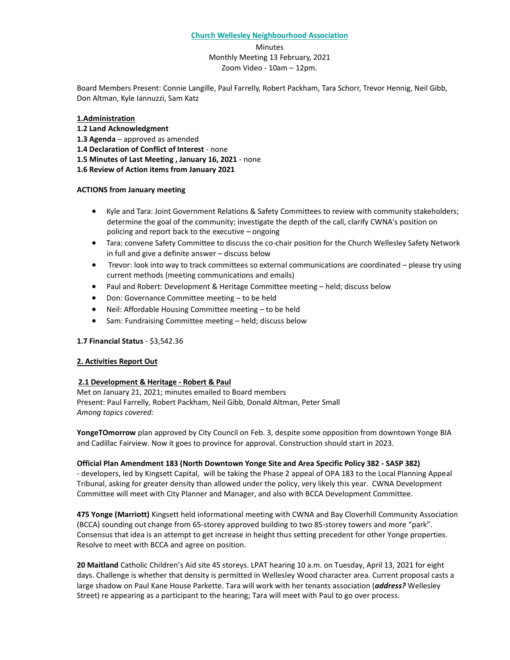#### **Church Wellesley Neighbourhood Association**

Minutes Monthly Meeting 13 February, 2021 Zoom Video - 10am – 12pm.

Board Members Present: Connie Langille, Paul Farrelly, Robert Packham, Tara Schorr, Trevor Hennig, Neil Gibb, Don Altman, Kyle Iannuzzi, Sam Katz

#### **1.Administration**

- **1.2 Land Acknowledgment**
- **1.3 Agenda** approved as amended
- **1.4 Declaration of Conflict of Interest** none
- **1.5 Minutes of Last Meeting , January 16, 2021** none
- **1.6 Review of Action items from January 2021**

#### **ACTIONS from January meeting**

- Kyle and Tara: Joint Government Relations & Safety Committees to review with community stakeholders; determine the goal of the community; investigate the depth of the call, clarify CWNA's position on policing and report back to the executive – ongoing
- Tara: convene Safety Committee to discuss the co-chair position for the Church Wellesley Safety Network in full and give a definite answer – discuss below
- Trevor: look into way to track committees so external communications are coordinated please try using current methods (meeting communications and emails)
- Paul and Robert: Development & Heritage Committee meeting held; discuss below
- Don: Governance Committee meeting to be held
- Neil: Affordable Housing Committee meeting to be held
- Sam: Fundraising Committee meeting held; discuss below

### **1.7 Financial Status** - \$3,542.36

### **2. Activities Report Out**

### **2.1 Development & Heritage - Robert & Paul**

Met on January 21, 2021; minutes emailed to Board members Present: Paul Farrelly, Robert Packham, Neil Gibb, Donald Altman, Peter Small *Among topics covered:*

**YongeTOmorrow** plan approved by City Council on Feb. 3, despite some opposition from downtown Yonge BIA and Cadillac Fairview. Now it goes to province for approval. Construction should start in 2023.

#### **Official Plan Amendment 183 (North Downtown Yonge Site and Area Specific Policy 382 - SASP 382)**

- developers, led by Kingsett Capital, will be taking the Phase 2 appeal of OPA 183 to the Local Planning Appeal Tribunal, asking for greater density than allowed under the policy, very likely this year. CWNA Development Committee will meet with City Planner and Manager, and also with BCCA Development Committee.

**475 Yonge (Marriott)** Kingsett held informational meeting with CWNA and Bay Cloverhill Community Association (BCCA) sounding out change from 65-storey approved building to two 85-storey towers and more "park". Consensus that idea is an attempt to get increase in height thus setting precedent for other Yonge properties. Resolve to meet with BCCA and agree on position.

**20 Maitland** Catholic Children's Aid site 45 storeys. LPAT hearing 10 a.m. on Tuesday, April 13, 2021 for eight days. Challenge is whether that density is permitted in Wellesley Wood character area. Current proposal casts a large shadow on Paul Kane House Parkette. Tara will work with her tenants association (*address?* Wellesley Street) re appearing as a participant to the hearing; Tara will meet with Paul to go over process.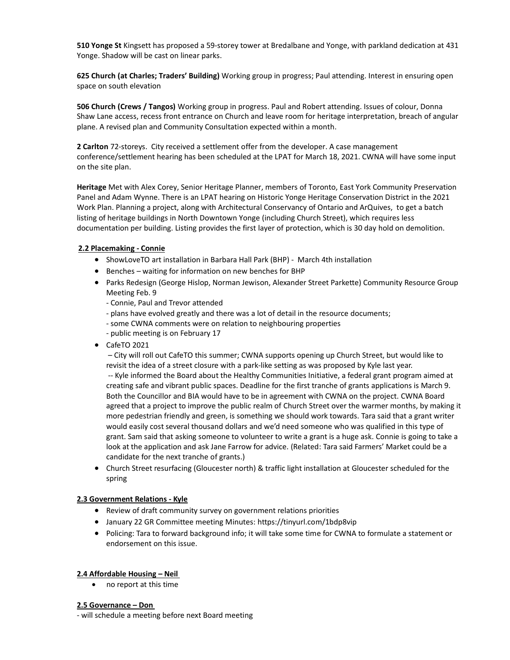**510 Yonge St** Kingsett has proposed a 59-storey tower at Bredalbane and Yonge, with parkland dedication at 431 Yonge. Shadow will be cast on linear parks.

**625 Church (at Charles; Traders' Building)** Working group in progress; Paul attending. Interest in ensuring open space on south elevation

**506 Church (Crews / Tangos)** Working group in progress. Paul and Robert attending. Issues of colour, Donna Shaw Lane access, recess front entrance on Church and leave room for heritage interpretation, breach of angular plane. A revised plan and Community Consultation expected within a month.

**2 Carlton** 72-storeys.City received a settlement offer from the developer. A case management conference/settlement hearing has been scheduled at the LPAT for March 18, 2021. CWNA will have some input on the site plan.

**Heritage** Met with Alex Corey, Senior Heritage Planner, members of Toronto, East York Community Preservation Panel and Adam Wynne. There is an LPAT hearing on Historic Yonge Heritage Conservation District in the 2021 Work Plan. Planning a project, along with Architectural Conservancy of Ontario and ArQuives, to get a batch listing of heritage buildings in North Downtown Yonge (including Church Street), which requires less documentation per building. Listing provides the first layer of protection, which is 30 day hold on demolition.

# **2.2 Placemaking - Connie**

- ShowLoveTO art installation in Barbara Hall Park (BHP) March 4th installation
- Benches waiting for information on new benches for BHP
- Parks Redesign (George Hislop, Norman Jewison, Alexander Street Parkette) Community Resource Group Meeting Feb. 9
	- Connie, Paul and Trevor attended
	- plans have evolved greatly and there was a lot of detail in the resource documents;
	- some CWNA comments were on relation to neighbouring properties
	- public meeting is on February 17
- CafeTO 2021

– City will roll out CafeTO this summer; CWNA supports opening up Church Street, but would like to revisit the idea of a street closure with a park-like setting as was proposed by Kyle last year.

-- Kyle informed the Board about the Healthy Communities Initiative, a federal grant program aimed at creating safe and vibrant public spaces. Deadline for the first tranche of grants applications is March 9. Both the Councillor and BIA would have to be in agreement with CWNA on the project. CWNA Board agreed that a project to improve the public realm of Church Street over the warmer months, by making it more pedestrian friendly and green, is something we should work towards. Tara said that a grant writer would easily cost several thousand dollars and we'd need someone who was qualified in this type of grant. Sam said that asking someone to volunteer to write a grant is a huge ask. Connie is going to take a look at the application and ask Jane Farrow for advice. (Related: Tara said Farmers' Market could be a candidate for the next tranche of grants.)

• Church Street resurfacing (Gloucester north) & traffic light installation at Gloucester scheduled for the spring

### **2.3 Government Relations - Kyle**

- Review of draft community survey on government relations priorities
- January 22 GR Committee meeting Minutes: https://tinyurl.com/1bdp8vip
- Policing: Tara to forward background info; it will take some time for CWNA to formulate a statement or endorsement on this issue.

### **2.4 Affordable Housing – Neil**

• no report at this time

#### **2.5 Governance – Don**

- will schedule a meeting before next Board meeting